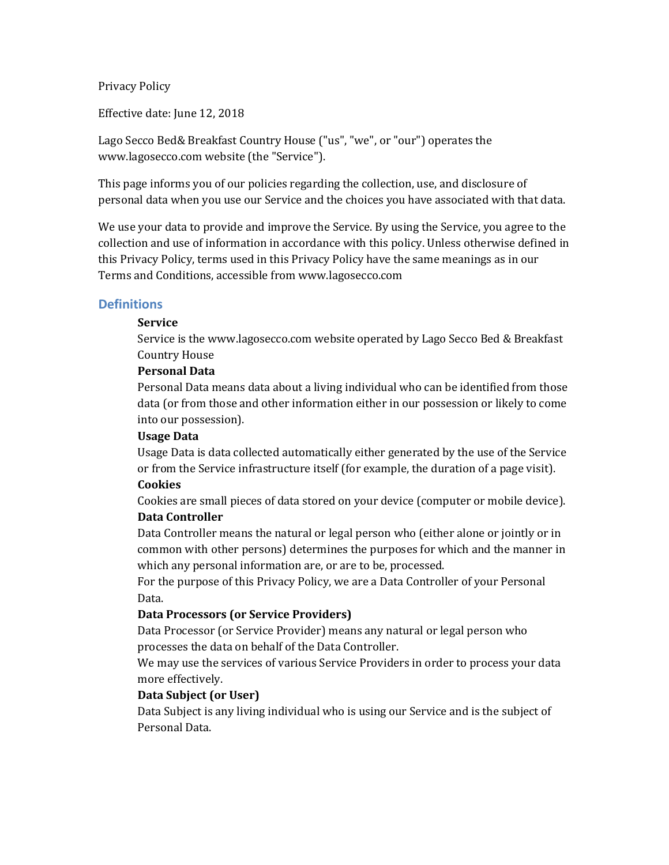Privacy Policy

Effective date: June 12, 2018

Lago Secco Bed& Breakfast Country House ("us", "we", or "our") operates the www.lagosecco.com website (the "Service").

This page informs you of our policies regarding the collection, use, and disclosure of personal data when you use our Service and the choices you have associated with that data.

We use your data to provide and improve the Service. By using the Service, you agree to the collection and use of information in accordance with this policy. Unless otherwise defined in this Privacy Policy, terms used in this Privacy Policy have the same meanings as in our Terms and Conditions, accessible from www.lagosecco.com

### **Definitions**

#### **Service**

Service is the www.lagosecco.com website operated by Lago Secco Bed & Breakfast Country House

#### **Personal Data**

Personal Data means data about a living individual who can be identified from those data (or from those and other information either in our possession or likely to come into our possession).

#### **Usage Data**

Usage Data is data collected automatically either generated by the use of the Service or from the Service infrastructure itself (for example, the duration of a page visit). **Cookies**

Cookies are small pieces of data stored on your device (computer or mobile device). **Data Controller**

Data Controller means the natural or legal person who (either alone or jointly or in common with other persons) determines the purposes for which and the manner in which any personal information are, or are to be, processed.

For the purpose of this Privacy Policy, we are a Data Controller of your Personal Data.

### **Data Processors (or Service Providers)**

Data Processor (or Service Provider) means any natural or legal person who processes the data on behalf of the Data Controller.

We may use the services of various Service Providers in order to process your data more effectively.

### **Data Subject (or User)**

Data Subject is any living individual who is using our Service and is the subject of Personal Data.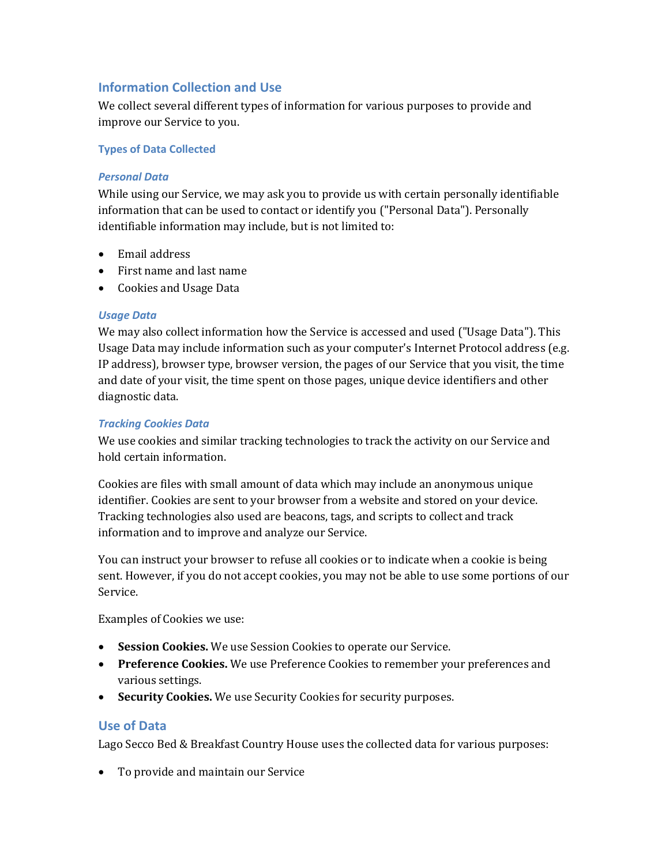# **Information Collection and Use**

We collect several different types of information for various purposes to provide and improve our Service to you.

#### **Types of Data Collected**

#### *Personal Data*

While using our Service, we may ask you to provide us with certain personally identifiable information that can be used to contact or identify you ("Personal Data"). Personally identifiable information may include, but is not limited to:

- Email address
- First name and last name
- Cookies and Usage Data

#### *Usage Data*

We may also collect information how the Service is accessed and used ("Usage Data"). This Usage Data may include information such as your computer's Internet Protocol address (e.g. IP address), browser type, browser version, the pages of our Service that you visit, the time and date of your visit, the time spent on those pages, unique device identifiers and other diagnostic data.

#### *Tracking Cookies Data*

We use cookies and similar tracking technologies to track the activity on our Service and hold certain information.

Cookies are files with small amount of data which may include an anonymous unique identifier. Cookies are sent to your browser from a website and stored on your device. Tracking technologies also used are beacons, tags, and scripts to collect and track information and to improve and analyze our Service.

You can instruct your browser to refuse all cookies or to indicate when a cookie is being sent. However, if you do not accept cookies, you may not be able to use some portions of our Service.

Examples of Cookies we use:

- **Session Cookies.** We use Session Cookies to operate our Service.
- **Preference Cookies.** We use Preference Cookies to remember your preferences and various settings.
- **Security Cookies.** We use Security Cookies for security purposes.

### **Use of Data**

Lago Secco Bed & Breakfast Country House uses the collected data for various purposes:

To provide and maintain our Service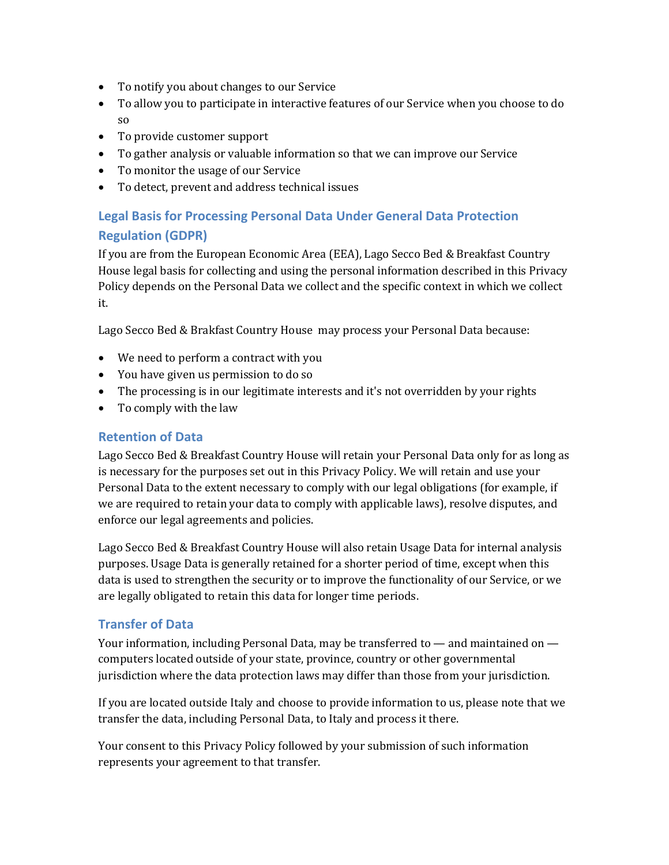- To notify you about changes to our Service
- To allow you to participate in interactive features of our Service when you choose to do so
- To provide customer support
- To gather analysis or valuable information so that we can improve our Service
- To monitor the usage of our Service
- To detect, prevent and address technical issues

# **Legal Basis for Processing Personal Data Under General Data Protection Regulation (GDPR)**

If you are from the European Economic Area (EEA), Lago Secco Bed & Breakfast Country House legal basis for collecting and using the personal information described in this Privacy Policy depends on the Personal Data we collect and the specific context in which we collect it.

Lago Secco Bed & Brakfast Country House may process your Personal Data because:

- We need to perform a contract with you
- You have given us permission to do so
- The processing is in our legitimate interests and it's not overridden by your rights
- To comply with the law

# **Retention of Data**

Lago Secco Bed & Breakfast Country House will retain your Personal Data only for as long as is necessary for the purposes set out in this Privacy Policy. We will retain and use your Personal Data to the extent necessary to comply with our legal obligations (for example, if we are required to retain your data to comply with applicable laws), resolve disputes, and enforce our legal agreements and policies.

Lago Secco Bed & Breakfast Country House will also retain Usage Data for internal analysis purposes. Usage Data is generally retained for a shorter period of time, except when this data is used to strengthen the security or to improve the functionality of our Service, or we are legally obligated to retain this data for longer time periods.

# **Transfer of Data**

Your information, including Personal Data, may be transferred to — and maintained on computers located outside of your state, province, country or other governmental jurisdiction where the data protection laws may differ than those from your jurisdiction.

If you are located outside Italy and choose to provide information to us, please note that we transfer the data, including Personal Data, to Italy and process it there.

Your consent to this Privacy Policy followed by your submission of such information represents your agreement to that transfer.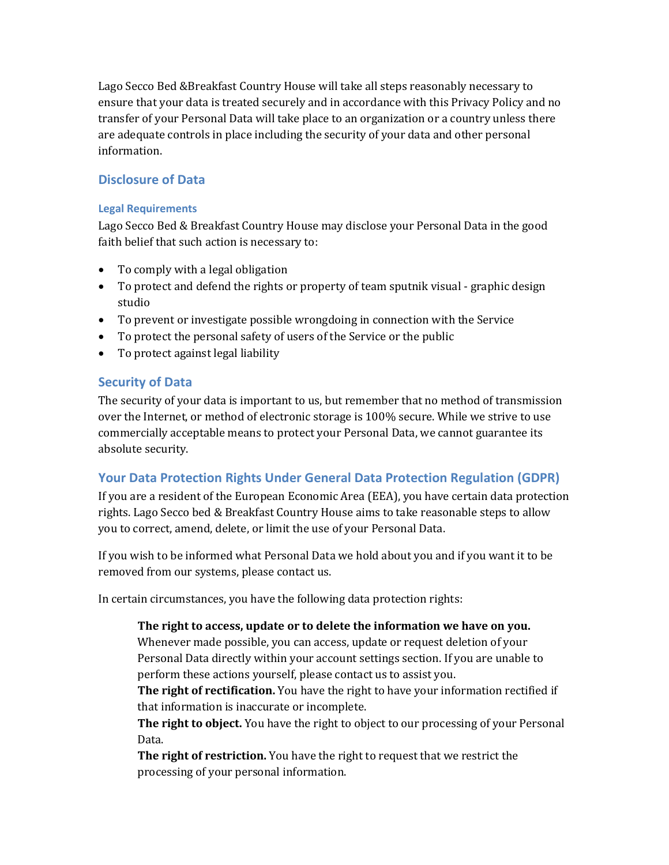Lago Secco Bed &Breakfast Country House will take all steps reasonably necessary to ensure that your data is treated securely and in accordance with this Privacy Policy and no transfer of your Personal Data will take place to an organization or a country unless there are adequate controls in place including the security of your data and other personal information.

### **Disclosure of Data**

#### **Legal Requirements**

Lago Secco Bed & Breakfast Country House may disclose your Personal Data in the good faith belief that such action is necessary to:

- To comply with a legal obligation
- To protect and defend the rights or property of team sputnik visual graphic design studio
- To prevent or investigate possible wrongdoing in connection with the Service
- To protect the personal safety of users of the Service or the public
- To protect against legal liability

### **Security of Data**

The security of your data is important to us, but remember that no method of transmission over the Internet, or method of electronic storage is 100% secure. While we strive to use commercially acceptable means to protect your Personal Data, we cannot guarantee its absolute security.

# **Your Data Protection Rights Under General Data Protection Regulation (GDPR)**

If you are a resident of the European Economic Area (EEA), you have certain data protection rights. Lago Secco bed & Breakfast Country House aims to take reasonable steps to allow you to correct, amend, delete, or limit the use of your Personal Data.

If you wish to be informed what Personal Data we hold about you and if you want it to be removed from our systems, please contact us.

In certain circumstances, you have the following data protection rights:

#### **The right to access, update or to delete the information we have on you.**

Whenever made possible, you can access, update or request deletion of your Personal Data directly within your account settings section. If you are unable to perform these actions yourself, please contact us to assist you.

**The right of rectification.** You have the right to have your information rectified if that information is inaccurate or incomplete.

**The right to object.** You have the right to object to our processing of your Personal Data.

**The right of restriction.** You have the right to request that we restrict the processing of your personal information.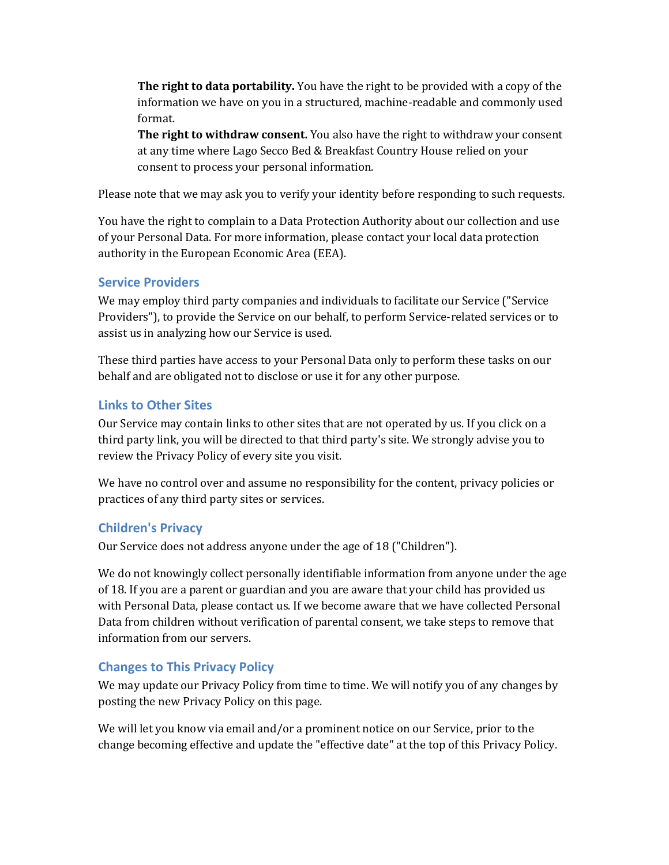**The right to data portability.** You have the right to be provided with a copy of the information we have on you in a structured, machine-readable and commonly used format.

**The right to withdraw consent.** You also have the right to withdraw your consent at any time where Lago Secco Bed & Breakfast Country House relied on your consent to process your personal information.

Please note that we may ask you to verify your identity before responding to such requests.

You have the right to complain to a Data Protection Authority about our collection and use of your Personal Data. For more information, please contact your local data protection authority in the European Economic Area (EEA).

# **Service Providers**

We may employ third party companies and individuals to facilitate our Service ("Service Providers"), to provide the Service on our behalf, to perform Service-related services or to assist us in analyzing how our Service is used.

These third parties have access to your Personal Data only to perform these tasks on our behalf and are obligated not to disclose or use it for any other purpose.

# **Links to Other Sites**

Our Service may contain links to other sites that are not operated by us. If you click on a third party link, you will be directed to that third party's site. We strongly advise you to review the Privacy Policy of every site you visit.

We have no control over and assume no responsibility for the content, privacy policies or practices of any third party sites or services.

# **Children's Privacy**

Our Service does not address anyone under the age of 18 ("Children").

We do not knowingly collect personally identifiable information from anyone under the age of 18. If you are a parent or guardian and you are aware that your child has provided us with Personal Data, please contact us. If we become aware that we have collected Personal Data from children without verification of parental consent, we take steps to remove that information from our servers.

### **Changes to This Privacy Policy**

We may update our Privacy Policy from time to time. We will notify you of any changes by posting the new Privacy Policy on this page.

We will let you know via email and/or a prominent notice on our Service, prior to the change becoming effective and update the "effective date" at the top of this Privacy Policy.